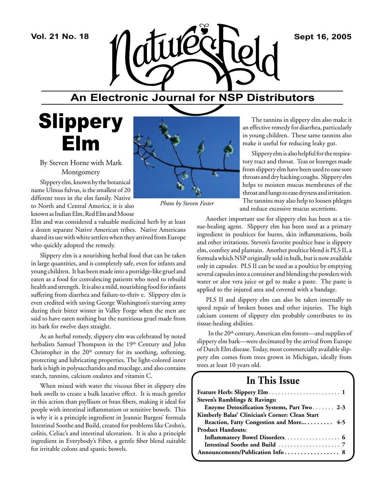

## **An Electronic Journal for NSP Distributors**

## **Slippery** Elm

By Steven Horne with Mark Montgomery

Slippery elm, known by the botanical name Ulmus fulvus, is the smallest of 20 different trees in the elm family. Native to North and Central America, it is also known as Indian Elm, Red Elm and Moose

Elm and was considered a valuable medicinal herb by at least a dozen separate Native American tribes. Native Americans shared its use with white settlers when they arrived from Europe who quickly adopted the remedy.

Slippery elm is a nourishing herbal food that can be taken in large quantities, and is completely safe, even for infants and young children. It has been made into a porridge-like gruel and eaten as a food for convalescing patients who need to rebuild health and strength. It is also a mild, nourishing food for infants suffering from diarrhea and failure-to-thriv e. Slippery elm is even credited with saving George Washington's starving army during their bitter winter in Valley Forge when the men are said to have eaten nothing but the nutritious gruel made from its bark for twelve days straight.

As an herbal remedy, slippery elm was celebrated by noted herbalists Samuel Thompson in the 19<sup>th</sup> Century and John Christopher in the  $20<sup>th</sup>$  century for its soothing, softening, protecting and lubricating properties. The light-colored inner bark is high in polysaccharides and mucilage, and also contains starch, tannins, calcium oxalates and vitamin C.

When mixed with water the viscous fiber in slippery elm bark swells to create a bulk laxative effect. It is much gentler in this action than psyllium or bran fibers, making it ideal for people with intestinal inflammation or sensitive bowels. This is why it is a principle ingredient in Jeannie Burgess' formula Intestinal Soothe and Build, created for problems like Crohn's, colitis, Celiac's and intestinal ulceration. It is also a principle ingredient in Everybody's Fiber, a gentle fiber blend suitable for irritable colons and spastic bowels.



*Photo by Steven Foster*

The tannins in slippery elm also make it an effective remedy for diarrhea, particularly in young children. These same tannins also make it useful for reducing leaky gut.

Slippery elm is also helpful for the respiratory tract and throat. Teas or lozenges made from slippery elm have been used to ease sore throats and dry hacking coughs. Slippery elm helps to moisten mucus membranes of the throat and lungs to ease dryness and irritation.

The tannins may also help to loosen phlegm and reduce excessive mucus secretions.

Another important use for slippery elm has been as a tissue-healing agent. Slippery elm has been used as a primary ingredient in poultices for burns, skin inflammations, boils and other irritations. Steven's favorite poultice base is slippery elm, comfrey and plantain. Another poultice blend is PLS II, a formula which NSP originally sold in bulk, but is now available only in capsules. PLS II can be used as a poultice by emptying several capsules into a container and blending the powders with water or aloe vera juice or gel to make a paste. The paste is applied to the injured area and covered with a bandage.

PLS II and slippery elm can also be taken internally to speed repair of broken bones and other injuries. The high calcium content of slippery elm probably contributes to its tissue-healing abilities.

In the 20<sup>th</sup> century, American elm forests—and supplies of slippery elm bark—were decimated by the arrival from Europe of Dutch Elm disease. Today, most commercially available slippery elm comes from trees grown in Michigan, ideally from trees at least 10 years old.

## **In This Issue**

| Steven's Ramblings & Ravings:                   |
|-------------------------------------------------|
| Enzyme Detoxification Systems, Part Two 2-3     |
| Kimberly Balas' Clinician's Corner: Clean Start |
| Reaction, Fatty Congestion and More 4-5         |
| <b>Product Handouts:</b>                        |
| Inflammatory Bowel Disorders 6                  |
|                                                 |
|                                                 |
|                                                 |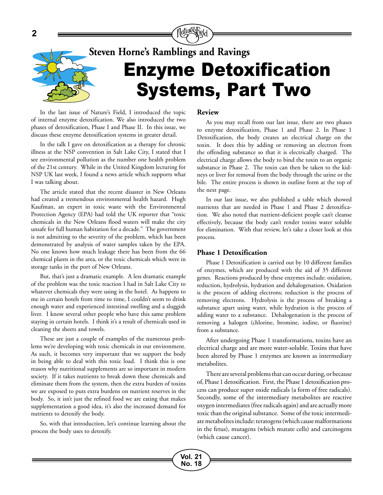

In the last issue of Nature's Field, I introduced the topic of internal enzyme detoxification. We also introduced the two phases of detoxification, Phase I and Phase II. In this issue, we discuss these enzyme detoxification systems in greater detail.

In the talk I gave on detoxification as a therapy for chronic illness at the NSP convention in Salt Lake City, I stated that I see environmental pollution as the number one health problem of the 21st century. While in the United Kingdom lecturing for NSP UK last week, I found a news article which supports what I was talking about.

The article stated that the recent disaster in New Orleans had created a tremendous environmental health hazard. Hugh Kaufman, an expert in toxic waste with the Environmental Protection Agency (EPA) had told the UK reporter that "toxic chemicals in the New Orleans flood waters will make the city unsafe for full human habitation for a decade." The government is not admitting to the severity of the problem, which has been demonstrated by analysis of water samples taken by the EPA. No one knows how much leakage there has been from the 66 chemical plants in the area, or the toxic chemicals which were in storage tanks in the port of New Orleans.

But, that's just a dramatic example. A less dramatic example of the problem was the toxic reaction I had in Salt Lake City to whatever chemicals they were using in the hotel. As happens to me in certain hotels from time to time, I couldn't seem to drink enough water and experienced intestinal swelling and a sluggish liver. I know several other people who have this same problem staying in certain hotels. I think it's a result of chemicals used in cleaning the sheets and towels.

These are just a couple of examples of the numerous problems we're developing with toxic chemicals in our environment. As such, it becomes very important that we support the body in being able to deal with this toxic load. I think this is one reason why nutritional supplements are so important in modern society. If it takes nutrients to break down these chemicals and eliminate them from the system, then the extra burden of toxins we are exposed to puts extra burdens on nutrient reserves in the body. So, it isn't just the refined food we are eating that makes supplementation a good idea, it's also the increased demand for nutrients to detoxify the body.

So, with that introduction, let's continue learning about the process the body uses to detoxify.

#### **Review**

As you may recall from our last issue, there are two phases to enzyme detoxification, Phase 1 and Phase 2. In Phase 1 Detoxification, the body creates an electrical charge on the toxin. It does this by adding or removing an electron from the offending substance so that it is electrically charged. The electrical charge allows the body to bind the toxin to an organic substance in Phase 2. The toxin can then be taken to the kidneys or liver for removal from the body through the urine or the bile. The entire process is shown in outline form at the top of the next page.

In our last issue, we also published a table which showed nutrients that are needed in Phase 1 and Phase 2 detoxification. We also noted that nutrient-deficient people can't cleanse effectively, because the body can't render toxins water soluble for elimination. With that review, let's take a closer look at this process.

#### **Phase 1 Detoxification**

**Vol. 21 No. 18**

Phase 1 Detoxification is carried out by 10 different families of enzymes, which are produced with the aid of 35 different genes. Reactions produced by these enzymes include: oxidation, reduction, hydrolysis, hydration and dehalogenation. Oxidation is the process of adding electrons; reduction is the process of removing electrons. Hydrolysis is the process of breaking a substance apart using water, while hydration is the process of adding water to a substance. Dehalogenation is the process of removing a halogen (chlorine, bromine, iodine, or fluorine) from a substance.

After undergoing Phase 1 transformations, toxins have an electrical charge and are more water-soluble. Toxins that have been altered by Phase 1 enzymes are known as intermediary metabolites.

There are several problems that can occur during, or because of, Phase 1 detoxification. First, the Phase 1 detoxification process can produce super oxide radicals (a form of free radicals). Secondly, some of the intermediary metabolites are reactive oxygen intermediates (free radicals again) and are actually more toxic than the original substance. Some of the toxic intermediate metabolites include: teratogens (which cause malformations in the fetus), mutagens (which mutate cells) and carcinogens (which cause cancer).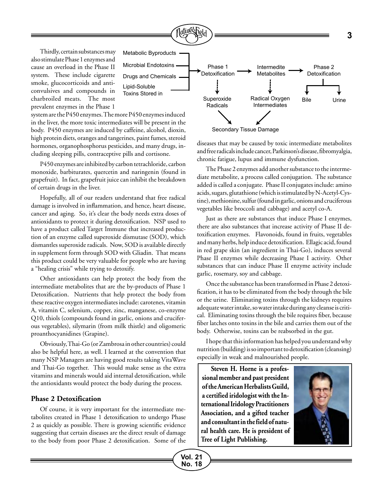

Secondary Tissue Damage

diseases that may be caused by toxic intermediate metabolites and free radicals include cancer, Parkinson's disease, fibromyalgia, chronic fatigue, lupus and immune dysfunction.

The Phase 2 enzymes add another substance to the intermediate metabolite, a process called conjugation. The substance added is called a conjugate. Phase II conjugates include: amino acids, sugars, glutathione (which is stimulated by N-Acetyl-Cystine), methionine, sulfur (found in garlic, onions and cruciferous vegetables like broccoli and cabbage) and acetyl co-A.

Just as there are substances that induce Phase I enzymes, there are also substances that increase activity of Phase II detoxification enzymes. Flavonoids, found in fruits, vegetables and many herbs, help induce detoxification. Ellagic acid, found in red grape skin (an ingredient in Thai-Go), induces several Phase II enzymes while decreasing Phase I activity. Other substances that can induce Phase II enzyme activity include garlic, rosemary, soy and cabbage.

Once the substance has been transformed in Phase 2 detoxification, it has to be eliminated from the body through the bile or the urine. Eliminating toxins through the kidneys requires adequate water intake, so water intake during any cleanse is critical. Eliminating toxins through the bile requires fiber, because fiber latches onto toxins in the bile and carries them out of the body. Otherwise, toxins can be reabsorbed in the gut.

I hope that this information has helped you understand why nutrition (building) is so important to detoxification (cleansing) especially in weak and malnourished people.

**Steven H. Horne is a professional member and past president of the American Herbalists Guild, a certified iridologist with the International Iridology Practitioners Association, and a gifted teacher and consultant in the field of natural health care. He is president of Tree of Light Publishing.**



Thirdly, certain substances may also stimulate Phase 1 enzymes and cause an overload in the Phase II system. These include cigarette smoke, glucocorticoids and anticonvulsives and compounds in charbroiled meats. The most prevalent enzymes in the Phase 1

system are the P450 enzymes. The more P450 enzymes induced in the liver, the more toxic intermediates will be present in the body. P450 enzymes are induced by caffeine, alcohol, dioxin, high protein diets, oranges and tangerines, paint fumes, steroid hormones, organophosphorus pesticides, and many drugs, including sleeping pills, contraceptive pills and cortisone.

P450 enzymes are inhibited by carbon tetrachloride, carbon monoxide, barbiturates, quercetin and naringenin (found in grapefruit). In fact, grapefruit juice can inhibit the breakdown of certain drugs in the liver.

Hopefully, all of our readers understand that free radical damage is involved in inflammation, and hence, heart disease, cancer and aging. So, it's clear the body needs extra doses of antioxidants to protect it during detoxification. NSP used to have a product called Target Immune that increased production of an enzyme called superoxide dismutase (SOD), which dismantles superoxide radicals. Now, SOD is available directly in supplement form through SOD with Gliadin. That means this product could be very valuable for people who are having a "healing crisis" while trying to detoxify.

Other antioxidants can help protect the body from the intermediate metabolites that are the by-products of Phase 1 Detoxification. Nutrients that help protect the body from these reactive oxygen intermediates include: carotenes, vitamin A, vitamin C, selenium, copper, zinc, manganese, co-enzyme Q10, thiols (compounds found in garlic, onions and cruciferous vegetables), silymarin (from milk thistle) and oligomeric proanthocyanidines (Grapine).

Obviously, Thai-Go (or Zambrosa in other countries) could also be helpful here, as well. I learned at the convention that many NSP Managers are having good results taking VitaWave and Thai-Go together. This would make sense as the extra vitamins and minerals would aid internal detoxification, while the antioxidants would protect the body during the process.

#### **Phase 2 Detoxification**

Of course, it is very important for the intermediate metabolites created in Phase 1 detoxification to undergo Phase 2 as quickly as possible. There is growing scientific evidence suggesting that certain diseases are the direct result of damage to the body from poor Phase 2 detoxification. Some of the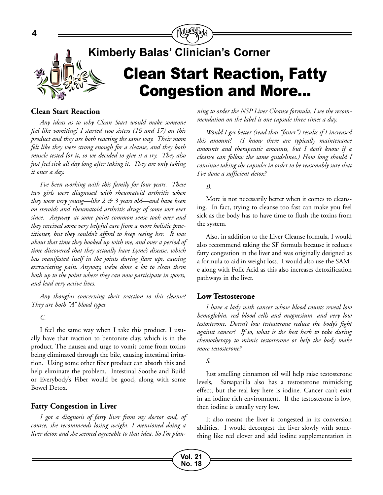

#### **Clean Start Reaction**

*Any ideas as to why Clean Start would make someone feel like vomiting? I started two sisters (16 and 17) on this product and they are both reacting the same way. Their mom felt like they were strong enough for a cleanse, and they both muscle tested for it, so we decided to give it a try. They also just feel sick all day long after taking it. They are only taking it once a day.* 

*I've been working with this family for four years. These two girls were diagnosed with rheumatoid arthritis when they were very young—like 2 & 3 years old—and have been on steroids and rheumatoid arthritis drugs of some sort ever since. Anyway, at some point common sense took over and they received some very helpful care from a more holistic practitioner, but they couldn't afford to keep seeing her. It was about that time they hooked up with me, and over a period of time discovered that they actually have Lyme's disease, which has manifested itself in the joints during flare ups, causing excruciating pain. Anyway, we've done a lot to clean them both up to the point where they can now participate in sports, and lead very active lives.* 

*Any thoughts concerning their reaction to this cleanse? They are both "A" blood types.* 

*C.*

I feel the same way when I take this product. I usually have that reaction to bentonite clay, which is in the product. The nausea and urge to vomit come from toxins being eliminated through the bile, causing intestinal irritation. Using some other fiber product can absorb this and help eliminate the problem. Intestinal Soothe and Build or Everybody's Fiber would be good, along with some Bowel Detox.

#### **Fatty Congestion in Liver**

*I got a diagnosis of fatty liver from my doctor and, of course, she recommends losing weight. I mentioned doing a liver detox and she seemed agreeable to that idea. So I'm plan-* *ning to order the NSP Liver Cleanse formula. I see the recommendation on the label is one capsule three times a day.* 

*Would I get better (read that "faster") results if I increased this amount? (I know there are typically maintenance amounts and therapeutic amounts, but I don't know if a cleanse can follow the same guidelines.) How long should I continue taking the capsules in order to be reasonably sure that I've done a sufficient detox?* 

#### *B.*

More is not necessarily better when it comes to cleansing. In fact, trying to cleanse too fast can make you feel sick as the body has to have time to flush the toxins from the system.

Also, in addition to the Liver Cleanse formula, I would also recommend taking the SF formula because it reduces fatty congestion in the liver and was originally designed as a formula to aid in weight loss. I would also use the SAMe along with Folic Acid as this also increases detoxification pathways in the liver.

#### **Low Testosterone**

*I have a lady with cancer whose blood counts reveal low hemoglobin, red blood cells and magnesium, and very low testosterone. Doesn't low testosterone reduce the body's fight against cancer? If so, what is the best herb to take during chemotherapy to mimic testosterone or help the body make more testosterone?*

#### *S.*

**Vol. 21 No. 18**

Just smelling cinnamon oil will help raise testosterone levels, Sarsaparilla also has a testosterone mimicking effect, but the real key here is iodine. Cancer can't exist in an iodine rich environment. If the testosterone is low, then iodine is usually very low.

It also means the liver is congested in its conversion abilities. I would decongest the liver slowly with something like red clover and add iodine supplementation in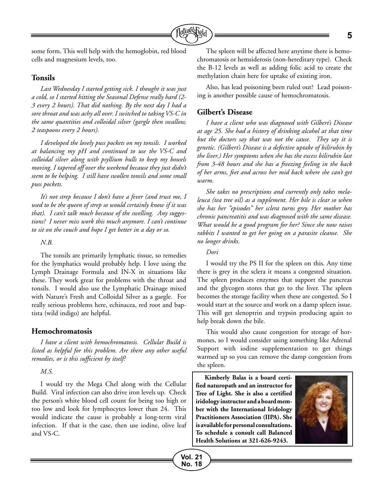

some form. This well help with the hemoglobin, red blood cells and magnesium levels, too.

#### **Tonsils**

*Last Wednesday I started getting sick. I thought it was just a cold, so I started hitting the Seasonal Defense really hard (2- 3 every 2 hours). That did nothing. By the next day I had a sore throat and was achy all over. I switched to taking VS-C in the same quantities and colloidal silver (gargle then swallow, 2 teaspoons every 2 hours).* 

*I developed the lovely puss pockets on my tonsils. I worked at balancing my pH and continued to use the VS-C and colloidal silver along with psyllium hulls to keep my bowels moving. I tapered off over the weekend because they just didn't seem to be helping. I still have swollen tonsils and some small puss pockets.* 

*It's not strep because I don't have a fever (and trust me, I used to be the queen of strep so would certainly know if it was that). I can't talk much because of the swelling. Any suggestions? I never miss work this much anymore. I can't continue to sit on the couch and hope I get better in a day or so.*

#### *N.B.*

The tonsils are primarily lymphatic tissue, so remedies for the lymphatics would probably help. I love using the Lymph Drainage Formula and IN-X in situations like these. They work great for problems with the throat and tonsils. I would also use the Lymphatic Drainage mixed with Nature's Fresh and Colloidal Silver as a gargle. For really serious problems here, echinacea, red root and baptista (wild indigo) are helpful.

#### **Hemochromatosis**

*I have a client with hemochromatosis. Cellular Build is listed as helpful for this problem. Are there any other useful remedies, or is this sufficient by itself?*

*M.S.*

I would try the Mega Chel along with the Cellular Build. Viral infection can also drive iron levels up. Check the person's white blood cell count for being too high or too low and look for lymphocytes lower than 24. This would indicate the cause is probably a long-term viral infection. If that is the case, then use iodine, olive leaf and VS-C.

The spleen will be affected here anytime there is hemochromatosis or hemsiderosis (non-hereditary type). Check the B-12 levels as well as adding folic acid to create the methylation chain here for uptake of existing iron.

Also, has lead poisoning been ruled out? Lead poisoning is another possible cause of hemochromatosis.

#### **Gilbert's Disease**

*I have a client who was diagnosed with Gilbert's Disease at age 25. She had a history of drinking alcohol at that time but the doctors say that was not the cause. They say it is genetic. (Gilbert's Disease is a defective uptake of bilirubin by the liver.) Her symptoms when she has the excess bilirubin last from 3-48 hours and she has a freezing feeling in the back of her arms, feet and across her mid back where she can't get warm.*

*She takes no prescriptions and currently only takes melaleuca (tea tree oil) as a supplement. Her bile is clear so when she has her "episodes" her sclera turns grey. Her mother has chronic pancreatitis and was diagnosed with the same disease. What would be a good program for her? Since she now raises rabbits I wanted to get her going on a parasite cleanse. She no longer drinks.*

#### *Dori*

**Vol. 21 No. 18**

I would try the PS II for the spleen on this. Any time there is grey in the sclera it means a congested situation. The spleen produces enzymes that support the pancreas and the glycogen stores that go to the liver. The spleen becomes the storage facility when these are congested. So I would start at the source and work on a damp spleen issue. This will get slenoptrin and trypsin producing again to help break down the bile.

This would also cause congestion for storage of hormones, so I would consider using something like Adrenal Support with iodine supplementation to get things warmed up so you can remove the damp congestion from the spleen.

**Kimberly Balas is a board certified naturopath and an instructor for Tree of Light. She is also a certified iridology instructor and a board member with the International Iridology Practitioners Association (IIPA). She is available for personal consultations. To schedule a consult call Balanced Health Solutions at 321-626-9243.**

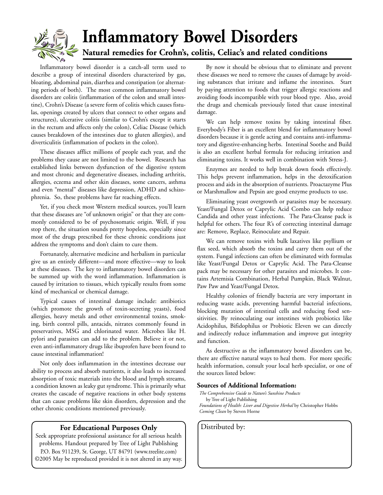

## **Inflammatory Bowel Disorders Natural remedies for Crohn's, colitis, Celiac's and related conditions**

Inflammatory bowel disorder is a catch-all term used to describe a group of intestinal disorders characterized by gas, bloating, abdominal pain, diarrhea and constipation (or alternating periods of both). The most common inflammatory bowel disorders are colitis (inflammation of the colon and small intestine), Crohn's Disease (a severe form of colitis which causes fistulas, openings created by ulcers that connect to other organs and structures), ulcerative colitis (similar to Crohn's except it starts in the rectum and affects only the colon), Celiac Disease (which causes breakdown of the intestines due to gluten allergies), and diverticulitis (inflammation of pockets in the colon).

These diseases afflict millions of people each year, and the problems they cause are not limited to the bowel. Research has established links between dysfunction of the digestive system and most chronic and degenerative diseases, including arthritis, allergies, eczema and other skin diseases, some cancers, asthma and even "mental" diseases like depression, ADHD and schizophrenia. So, these problems have far reaching effects.

Yet, if you check most Western medical sources, you'll learn that these diseases are "of unknown origin" or that they are commonly considered to be of psychosomatic origin. Well, if you stop there, the situation sounds pretty hopeless, especially since most of the drugs prescribed for these chronic conditions just address the symptoms and don't claim to cure them.

Fortunately, alternative medicine and herbalism in particular give us an entirely different—and more effective—way to look at these diseases. The key to inflammatory bowel disorders can be summed up with the word inflammation. Inflammation is caused by irritation to tissues, which typically results from some kind of mechanical or chemical damage.

Typical causes of intestinal damage include: antibiotics (which promote the growth of toxin-secreting yeasts), food allergies, heavy metals and other environmental toxins, smoking, birth control pills, antacids, nitrates commonly found in preservatives, MSG and chlorinated water. Microbes like H. pylori and parasites can add to the problem. Believe it or not, even anti-inflammatory drugs like ibuprofen have been found to cause intestinal inflammation!

Not only does inflammation in the intestines decrease our ability to process and absorb nutrients, it also leads to increased absorption of toxic materials into the blood and lymph streams, a condition known as leaky gut syndrome. This is primarily what creates the cascade of negative reactions in other body systems that can cause problems like skin disorders, depression and the other chronic conditions mentioned previously.

#### **For Educational Purposes Only** | Distributed by:

Seek appropriate professional assistance for all serious health problems. Handout prepared by Tree of Light Publishing P.O. Box 911239, St. George, UT 84791 (www.treelite.com) ©2005 May be reproduced provided it is not altered in any way.

By now it should be obvious that to eliminate and prevent these diseases we need to remove the causes of damage by avoiding substances that irritate and inflame the intestines. Start by paying attention to foods that trigger allergic reactions and avoiding foods incompatible with your blood type. Also, avoid the drugs and chemicals previously listed that cause intestinal damage.

We can help remove toxins by taking intestinal fiber. Everybody's Fiber is an excellent blend for inflammatory bowel disorders because it is gentle acting and contains anti-inflammatory and digestive-enhancing herbs. Intestinal Soothe and Build is also an excellent herbal formula for reducing irritation and eliminating toxins. It works well in combination with Stress-J.

Enzymes are needed to help break down foods effectively. This helps prevent inflammation, helps in the detoxification process and aids in the absorption of nutrients. Proactazyme Plus or Marshmallow and Pepsin are good enzyme products to use.

Eliminating yeast overgrowth or parasites may be necessary. Yeast/Fungal Detox or Caprylic Acid Combo can help reduce Candida and other yeast infections. The Para-Cleanse pack is helpful for others. The four R's of correcting intestinal damage are: Remove, Replace, Reinoculate and Repair.

We can remove toxins with bulk laxatives like psyllium or flax seed, which absorb the toxins and carry them out of the system. Fungal infections can often be eliminated with formulas like Yeast/Fungal Detox or Caprylic Acid. The Para-Cleanse pack may be necessary for other parasites and microbes. It contains Artemisia Combination, Herbal Pumpkin, Black Walnut, Paw Paw and Yeast/Fungal Detox.

Healthy colonies of friendly bacteria are very important in reducing waste acids, preventing harmful bacterial infections, blocking mutation of intestinal cells and reducing food sensitivities. By reinoculating our intestines with probiotics like Acidophilus, Bifidophilus or Probiotic Eleven we can directly and indirectly reduce inflammation and improve gut integrity and function.

As destructive as the inflammatory bowel disorders can be, there are effective natural ways to heal them. For more specific health information, consult your local herb specialist, or one of the sources listed below:

#### **Sources of Additional Information:**

*The Comprehensive Guide to Nature's Sunshine Products* by Tree of Light Publishing *Foundations of Health: Liver and Digestive Herbal* by Christopher Hobbs *Coming Clean* by Steven Horne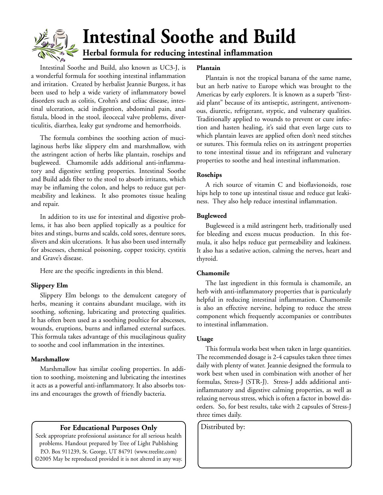

# **Intestinal Soothe and Build**

**Herbal formula for reducing intestinal inflammation**

Intestinal Soothe and Build, also known as UC3-J, is a wonderful formula for soothing intestinal inflammation and irritation. Created by herbalist Jeannie Burgess, it has been used to help a wide variety of inflammatory bowel disorders such as colitis, Crohn's and celiac disease, intestinal ulceration, acid indigestion, abdominal pain, anal fistula, blood in the stool, ileocecal valve problems, diverticulitis, diarrhea, leaky gut syndrome and hemorrhoids.

The formula combines the soothing action of mucilaginous herbs like slippery elm and marshmallow, with the astringent action of herbs like plantain, rosehips and bugleweed. Chamomile adds additional anti-inflammatory and digestive settling properties. Intestinal Soothe and Build adds fiber to the stool to absorb irritants, which may be inflaming the colon, and helps to reduce gut permeability and leakiness. It also promotes tissue healing and repair.

In addition to its use for intestinal and digestive problems, it has also been applied topically as a poultice for bites and stings, burns and scalds, cold sores, denture sores, slivers and skin ulcerations. It has also been used internally for abscesses, chemical poisoning, copper toxicity, cystitis and Grave's disease.

Here are the specific ingredients in this blend.

#### **Slippery Elm**

Slippery Elm belongs to the demulcent category of herbs, meaning it contains abundant mucilage, with its soothing, softening, lubricating and protecting qualities. It has often been used as a soothing poultice for abscesses, wounds, eruptions, burns and inflamed external surfaces. This formula takes advantage of this mucilaginous quality to soothe and cool inflammation in the intestines.

#### **Marshmallow**

Marshmallow has similar cooling properties. In addition to soothing, moistening and lubricating the intestines it acts as a powerful anti-inflammatory. It also absorbs toxins and encourages the growth of friendly bacteria.

#### **For Educational Purposes Only** | Distributed by:

Seek appropriate professional assistance for all serious health problems. Handout prepared by Tree of Light Publishing P.O. Box 911239, St. George, UT 84791 (www.treelite.com) ©2005 May be reproduced provided it is not altered in any way.

#### **Plantain**

Plantain is not the tropical banana of the same name, but an herb native to Europe which was brought to the Americas by early explorers. It is known as a superb "firstaid plant" because of its antiseptic, astringent, antivenomous, diuretic, refrigerant, styptic, and vulnerary qualities. Traditionally applied to wounds to prevent or cure infection and hasten healing, it's said that even large cuts to which plantain leaves are applied often don't need stitches or sutures. This formula relies on its astringent properties to tone intestinal tissue and its refrigerant and vulnerary properties to soothe and heal intestinal inflammation.

#### **Rosehips**

A rich source of vitamin C and bioflavionoids, rose hips help to tone up intestinal tissue and reduce gut leakiness. They also help reduce intestinal inflammation.

#### **Bugleweed**

Bugleweed is a mild astringent herb, traditionally used for bleeding and excess mucus production. In this formula, it also helps reduce gut permeability and leakiness. It also has a sedative action, calming the nerves, heart and thyroid.

#### **Chamomile**

The last ingredient in this formula is chamomile, an herb with anti-inflammatory properties that is particularly helpful in reducing intestinal inflammation. Chamomile is also an effective nervine, helping to reduce the stress component which frequently accompanies or contributes to intestinal inflammation.

#### **Usage**

This formula works best when taken in large quantities. The recommended dosage is 2-4 capsules taken three times daily with plenty of water. Jeannie designed the formula to work best when used in combination with another of her formulas, Stress-J (STR-J). Stress-J adds additional antiinflammatory and digestive calming properties, as well as relaxing nervous stress, which is often a factor in bowel disorders. So, for best results, take with 2 capsules of Stress-J three times daily.